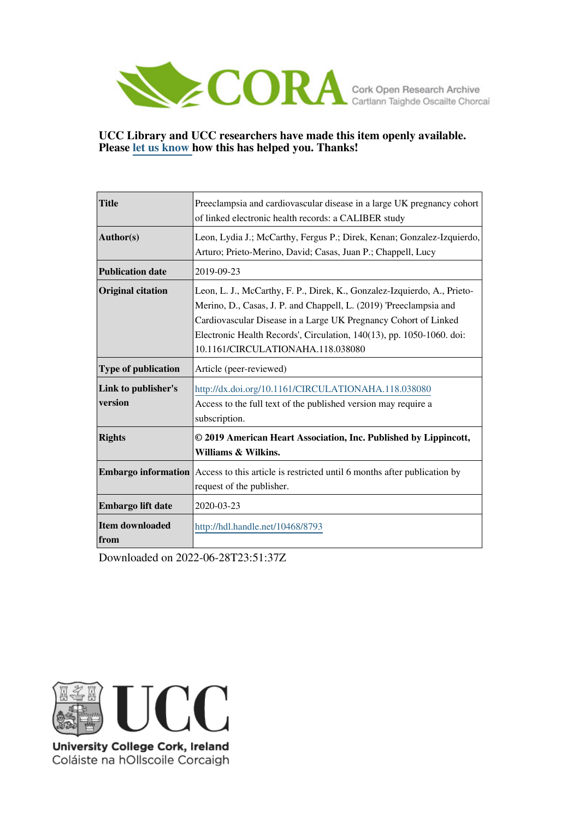

# **UCC Library and UCC researchers have made this item openly available. Please [let us know h](https://libguides.ucc.ie/openaccess/impact?suffix=8793&title=Preeclampsia and cardiovascular disease in a large UK pregnancy cohort of linked electronic health records: a CALIBER study)ow this has helped you. Thanks!**

| <b>Title</b>                   | Preeclampsia and cardiovascular disease in a large UK pregnancy cohort<br>of linked electronic health records: a CALIBER study                                                                                                                                                                                                  |  |  |
|--------------------------------|---------------------------------------------------------------------------------------------------------------------------------------------------------------------------------------------------------------------------------------------------------------------------------------------------------------------------------|--|--|
|                                |                                                                                                                                                                                                                                                                                                                                 |  |  |
| Author(s)                      | Leon, Lydia J.; McCarthy, Fergus P.; Direk, Kenan; Gonzalez-Izquierdo,<br>Arturo; Prieto-Merino, David; Casas, Juan P.; Chappell, Lucy                                                                                                                                                                                          |  |  |
| <b>Publication date</b>        | 2019-09-23                                                                                                                                                                                                                                                                                                                      |  |  |
| <b>Original citation</b>       | Leon, L. J., McCarthy, F. P., Direk, K., Gonzalez-Izquierdo, A., Prieto-<br>Merino, D., Casas, J. P. and Chappell, L. (2019) 'Preeclampsia and<br>Cardiovascular Disease in a Large UK Pregnancy Cohort of Linked<br>Electronic Health Records', Circulation, 140(13), pp. 1050-1060. doi:<br>10.1161/CIRCULATIONAHA.118.038080 |  |  |
| <b>Type of publication</b>     | Article (peer-reviewed)                                                                                                                                                                                                                                                                                                         |  |  |
| Link to publisher's<br>version | http://dx.doi.org/10.1161/CIRCULATIONAHA.118.038080<br>Access to the full text of the published version may require a<br>subscription.                                                                                                                                                                                          |  |  |
| <b>Rights</b>                  | © 2019 American Heart Association, Inc. Published by Lippincott,<br>Williams & Wilkins.                                                                                                                                                                                                                                         |  |  |
|                                | <b>Embargo information</b> Access to this article is restricted until 6 months after publication by<br>request of the publisher.                                                                                                                                                                                                |  |  |
| Embargo lift date              | 2020-03-23                                                                                                                                                                                                                                                                                                                      |  |  |
| Item downloaded                | http://hdl.handle.net/10468/8793                                                                                                                                                                                                                                                                                                |  |  |
| from                           |                                                                                                                                                                                                                                                                                                                                 |  |  |

Downloaded on 2022-06-28T23:51:37Z



University College Cork, Ireland Coláiste na hOllscoile Corcaigh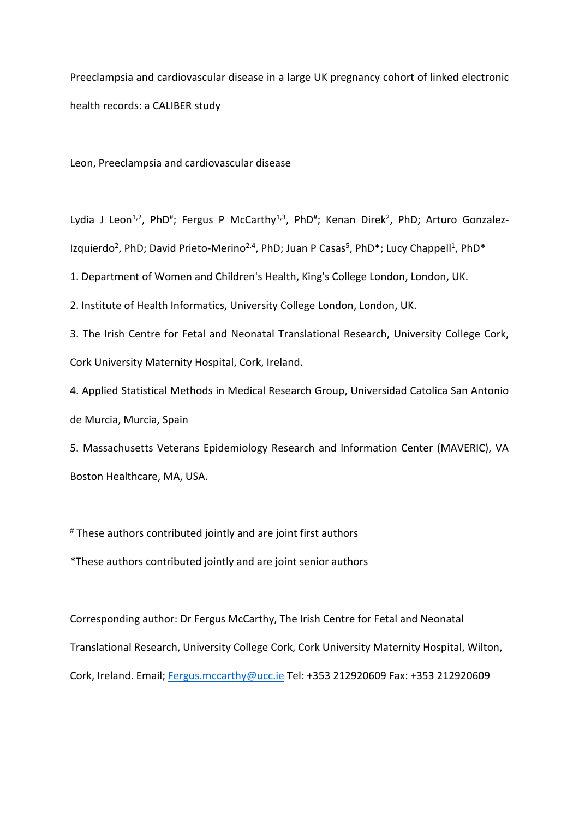Preeclampsia and cardiovascular disease in a large UK pregnancy cohort of linked electronic health records: a CALIBER study

Leon, Preeclampsia and cardiovascular disease

Lydia J Leon<sup>1,2</sup>, PhD<sup>#</sup>; Fergus P McCarthy<sup>1,3</sup>, PhD<sup>#</sup>; Kenan Direk<sup>2</sup>, PhD; Arturo Gonzalez-Izquierdo<sup>2</sup>, PhD; David Prieto-Merino<sup>2,4</sup>, PhD; Juan P Casas<sup>5</sup>, PhD<sup>\*</sup>; Lucy Chappell<sup>1</sup>, PhD<sup>\*</sup>

1. Department of Women and Children's Health, King's College London, London, UK.

2. Institute of Health Informatics, University College London, London, UK.

3. The Irish Centre for Fetal and Neonatal Translational Research, University College Cork, Cork University Maternity Hospital, Cork, Ireland.

4. Applied Statistical Methods in Medical Research Group, Universidad Catolica San Antonio de Murcia, Murcia, Spain

5. Massachusetts Veterans Epidemiology Research and Information Center (MAVERIC), VA Boston Healthcare, MA, USA.

# These authors contributed jointly and are joint first authors

\*These authors contributed jointly and are joint senior authors

Corresponding author: Dr Fergus McCarthy, The Irish Centre for Fetal and Neonatal Translational Research, University College Cork, Cork University Maternity Hospital, Wilton, Cork, Ireland. Email[; Fergus.mccarthy@ucc.ie](mailto:Fergus.mccarthy@ucc.ie) Tel: +353 212920609 Fax: +353 212920609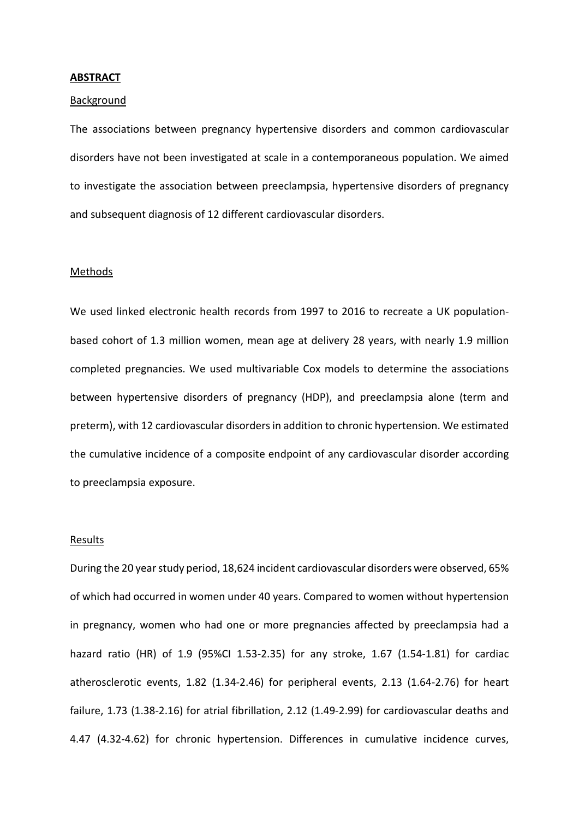### **ABSTRACT**

## **Background**

The associations between pregnancy hypertensive disorders and common cardiovascular disorders have not been investigated at scale in a contemporaneous population. We aimed to investigate the association between preeclampsia, hypertensive disorders of pregnancy and subsequent diagnosis of 12 different cardiovascular disorders.

## Methods

We used linked electronic health records from 1997 to 2016 to recreate a UK populationbased cohort of 1.3 million women, mean age at delivery 28 years, with nearly 1.9 million completed pregnancies. We used multivariable Cox models to determine the associations between hypertensive disorders of pregnancy (HDP), and preeclampsia alone (term and preterm), with 12 cardiovascular disordersin addition to chronic hypertension. We estimated the cumulative incidence of a composite endpoint of any cardiovascular disorder according to preeclampsia exposure.

#### Results

During the 20 year study period, 18,624 incident cardiovascular disorders were observed, 65% of which had occurred in women under 40 years. Compared to women without hypertension in pregnancy, women who had one or more pregnancies affected by preeclampsia had a hazard ratio (HR) of 1.9 (95%CI 1.53-2.35) for any stroke, 1.67 (1.54-1.81) for cardiac atherosclerotic events, 1.82 (1.34-2.46) for peripheral events, 2.13 (1.64-2.76) for heart failure, 1.73 (1.38-2.16) for atrial fibrillation, 2.12 (1.49-2.99) for cardiovascular deaths and 4.47 (4.32-4.62) for chronic hypertension. Differences in cumulative incidence curves,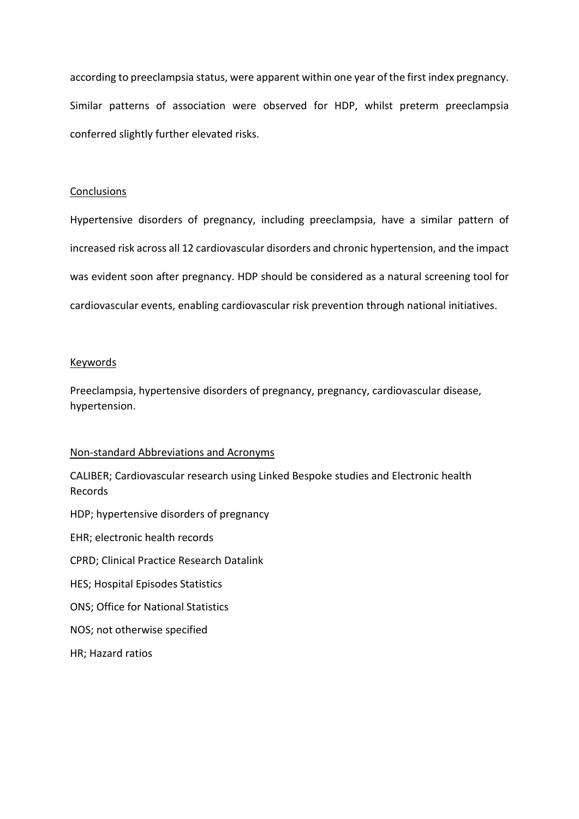according to preeclampsia status, were apparent within one year of the first index pregnancy. Similar patterns of association were observed for HDP, whilst preterm preeclampsia conferred slightly further elevated risks.

## **Conclusions**

Hypertensive disorders of pregnancy, including preeclampsia, have a similar pattern of increased risk across all 12 cardiovascular disorders and chronic hypertension, and the impact was evident soon after pregnancy. HDP should be considered as a natural screening tool for cardiovascular events, enabling cardiovascular risk prevention through national initiatives.

### Keywords

Preeclampsia, hypertensive disorders of pregnancy, pregnancy, cardiovascular disease, hypertension.

## Non-standard Abbreviations and Acronyms

CALIBER; Cardiovascular research using Linked Bespoke studies and Electronic health Records

HDP; hypertensive disorders of pregnancy

EHR; electronic health records

CPRD; Clinical Practice Research Datalink

HES; Hospital Episodes Statistics

ONS; Office for National Statistics

NOS; not otherwise specified

HR; Hazard ratios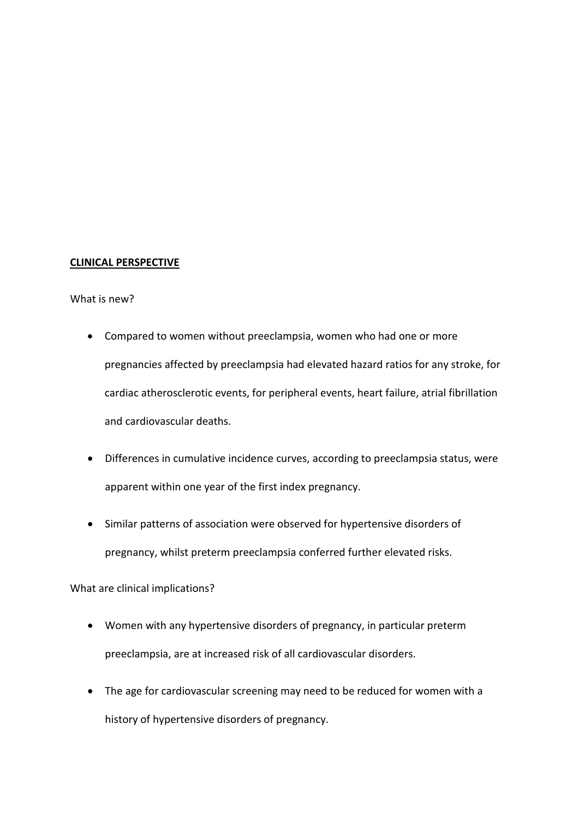# **CLINICAL PERSPECTIVE**

## What is new?

- Compared to women without preeclampsia, women who had one or more pregnancies affected by preeclampsia had elevated hazard ratios for any stroke, for cardiac atherosclerotic events, for peripheral events, heart failure, atrial fibrillation and cardiovascular deaths.
- Differences in cumulative incidence curves, according to preeclampsia status, were apparent within one year of the first index pregnancy.
- Similar patterns of association were observed for hypertensive disorders of pregnancy, whilst preterm preeclampsia conferred further elevated risks.

What are clinical implications?

- Women with any hypertensive disorders of pregnancy, in particular preterm preeclampsia, are at increased risk of all cardiovascular disorders.
- The age for cardiovascular screening may need to be reduced for women with a history of hypertensive disorders of pregnancy.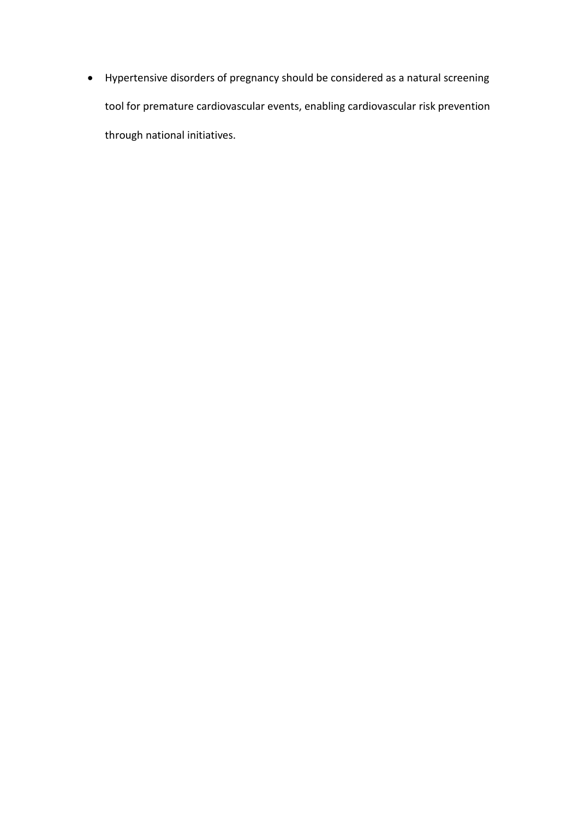• Hypertensive disorders of pregnancy should be considered as a natural screening tool for premature cardiovascular events, enabling cardiovascular risk prevention through national initiatives.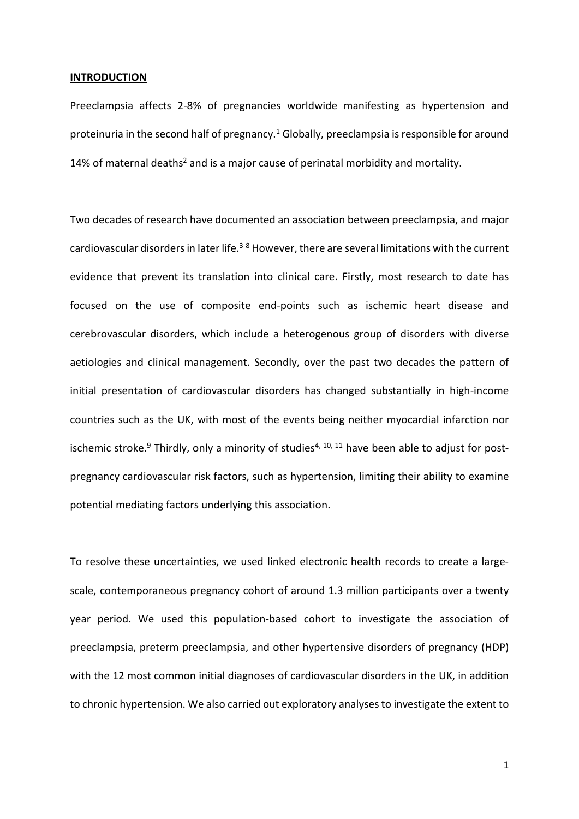### **INTRODUCTION**

Preeclampsia affects 2-8% of pregnancies worldwide manifesting as hypertension and proteinuria in the second half of pregnancy.<sup>1</sup> Globally, preeclampsia is responsible for around 14% of maternal deaths<sup>2</sup> and is a major cause of perinatal morbidity and mortality.

Two decades of research have documented an association between preeclampsia, and major cardiovascular disorders in later life.<sup>3-8</sup> However, there are several limitations with the current evidence that prevent its translation into clinical care. Firstly, most research to date has focused on the use of composite end-points such as ischemic heart disease and cerebrovascular disorders, which include a heterogenous group of disorders with diverse aetiologies and clinical management. Secondly, over the past two decades the pattern of initial presentation of cardiovascular disorders has changed substantially in high-income countries such as the UK, with most of the events being neither myocardial infarction nor ischemic stroke.<sup>9</sup> Thirdly, only a minority of studies<sup>4, 10, 11</sup> have been able to adjust for postpregnancy cardiovascular risk factors, such as hypertension, limiting their ability to examine potential mediating factors underlying this association.

To resolve these uncertainties, we used linked electronic health records to create a largescale, contemporaneous pregnancy cohort of around 1.3 million participants over a twenty year period. We used this population-based cohort to investigate the association of preeclampsia, preterm preeclampsia, and other hypertensive disorders of pregnancy (HDP) with the 12 most common initial diagnoses of cardiovascular disorders in the UK, in addition to chronic hypertension. We also carried out exploratory analyses to investigate the extent to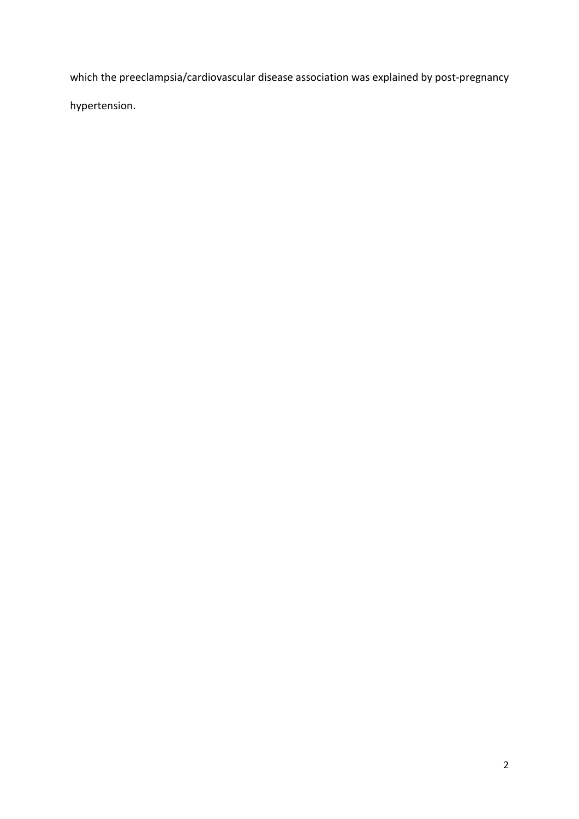which the preeclampsia/cardiovascular disease association was explained by post-pregnancy hypertension.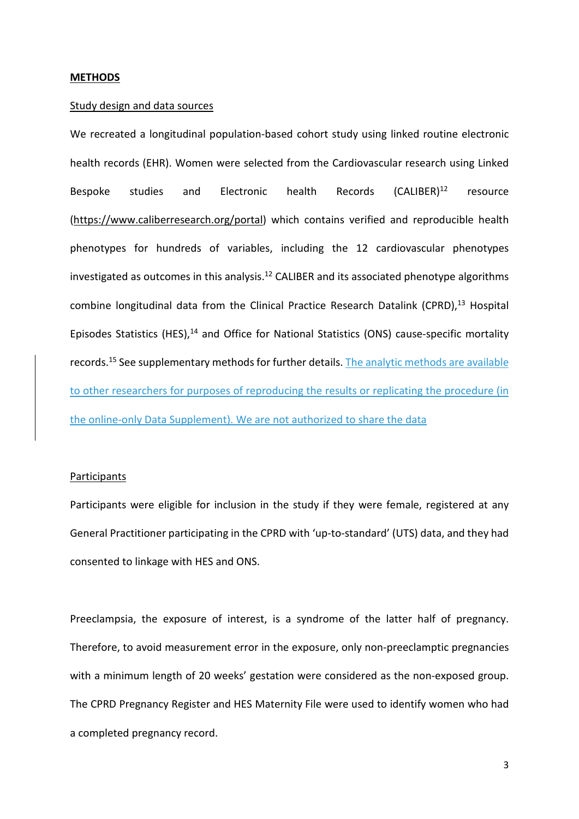### **METHODS**

## Study design and data sources

We recreated a longitudinal population-based cohort study using linked routine electronic health records (EHR). Women were selected from the Cardiovascular research using Linked Bespoke studies and Electronic health Records (CALIBER)<sup>12</sup> resource [\(https://www.caliberresearch.org/portal\)](https://www.caliberresearch.org/portal) which contains verified and reproducible health phenotypes for hundreds of variables, including the 12 cardiovascular phenotypes investigated as outcomes in this analysis. $^{12}$  CALIBER and its associated phenotype algorithms combine longitudinal data from the Clinical Practice Research Datalink (CPRD),<sup>13</sup> Hospital Episodes Statistics (HES),<sup>14</sup> and Office for National Statistics (ONS) cause-specific mortality records.<sup>15</sup> See supplementary methods for further details. The analytic methods are available to other researchers for purposes of reproducing the results or replicating the procedure (in the online-only Data Supplement). We are not authorized to share the data

### **Participants**

Participants were eligible for inclusion in the study if they were female, registered at any General Practitioner participating in the CPRD with 'up-to-standard' (UTS) data, and they had consented to linkage with HES and ONS.

Preeclampsia, the exposure of interest, is a syndrome of the latter half of pregnancy. Therefore, to avoid measurement error in the exposure, only non-preeclamptic pregnancies with a minimum length of 20 weeks' gestation were considered as the non-exposed group. The CPRD Pregnancy Register and HES Maternity File were used to identify women who had a completed pregnancy record.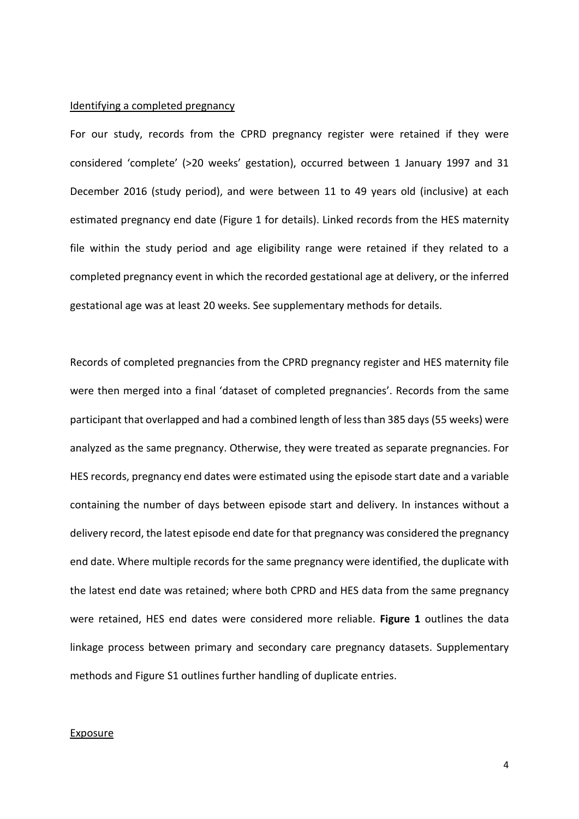### Identifying a completed pregnancy

For our study, records from the CPRD pregnancy register were retained if they were considered 'complete' (>20 weeks' gestation), occurred between 1 January 1997 and 31 December 2016 (study period), and were between 11 to 49 years old (inclusive) at each estimated pregnancy end date (Figure 1 for details). Linked records from the HES maternity file within the study period and age eligibility range were retained if they related to a completed pregnancy event in which the recorded gestational age at delivery, or the inferred gestational age was at least 20 weeks. See supplementary methods for details.

Records of completed pregnancies from the CPRD pregnancy register and HES maternity file were then merged into a final 'dataset of completed pregnancies'. Records from the same participant that overlapped and had a combined length of less than 385 days (55 weeks) were analyzed as the same pregnancy. Otherwise, they were treated as separate pregnancies. For HES records, pregnancy end dates were estimated using the episode start date and a variable containing the number of days between episode start and delivery. In instances without a delivery record, the latest episode end date for that pregnancy was considered the pregnancy end date. Where multiple records for the same pregnancy were identified, the duplicate with the latest end date was retained; where both CPRD and HES data from the same pregnancy were retained, HES end dates were considered more reliable. **Figure 1** outlines the data linkage process between primary and secondary care pregnancy datasets. Supplementary methods and Figure S1 outlines further handling of duplicate entries.

#### Exposure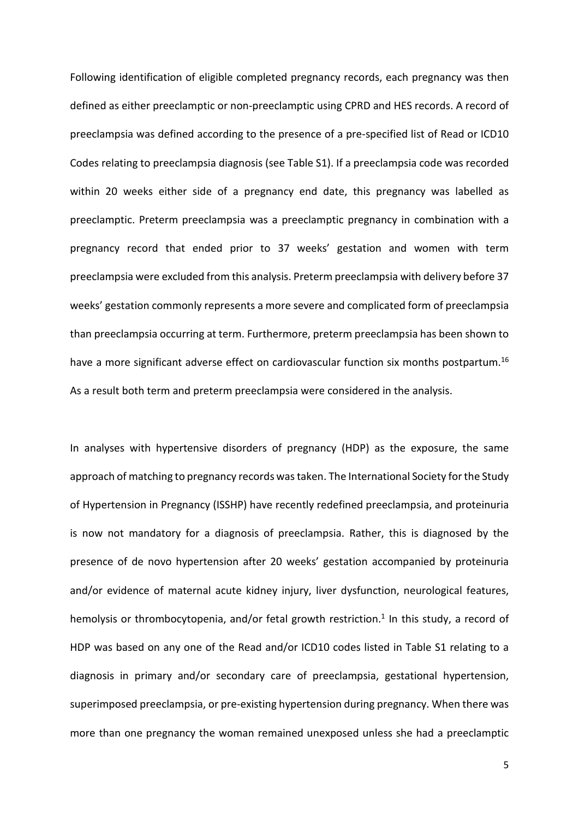Following identification of eligible completed pregnancy records, each pregnancy was then defined as either preeclamptic or non-preeclamptic using CPRD and HES records. A record of preeclampsia was defined according to the presence of a pre-specified list of Read or ICD10 Codes relating to preeclampsia diagnosis (see Table S1). If a preeclampsia code was recorded within 20 weeks either side of a pregnancy end date, this pregnancy was labelled as preeclamptic. Preterm preeclampsia was a preeclamptic pregnancy in combination with a pregnancy record that ended prior to 37 weeks' gestation and women with term preeclampsia were excluded from this analysis. Preterm preeclampsia with delivery before 37 weeks' gestation commonly represents a more severe and complicated form of preeclampsia than preeclampsia occurring at term. Furthermore, preterm preeclampsia has been shown to have a more significant adverse effect on cardiovascular function six months postpartum.<sup>16</sup> As a result both term and preterm preeclampsia were considered in the analysis.

In analyses with hypertensive disorders of pregnancy (HDP) as the exposure, the same approach of matching to pregnancy records was taken. The International Society for the Study of Hypertension in Pregnancy (ISSHP) have recently redefined preeclampsia, and proteinuria is now not mandatory for a diagnosis of preeclampsia. Rather, this is diagnosed by the presence of de novo hypertension after 20 weeks' gestation accompanied by proteinuria and/or evidence of maternal acute kidney injury, liver dysfunction, neurological features, hemolysis or thrombocytopenia, and/or fetal growth restriction.<sup>1</sup> In this study, a record of HDP was based on any one of the Read and/or ICD10 codes listed in Table S1 relating to a diagnosis in primary and/or secondary care of preeclampsia, gestational hypertension, superimposed preeclampsia, or pre-existing hypertension during pregnancy. When there was more than one pregnancy the woman remained unexposed unless she had a preeclamptic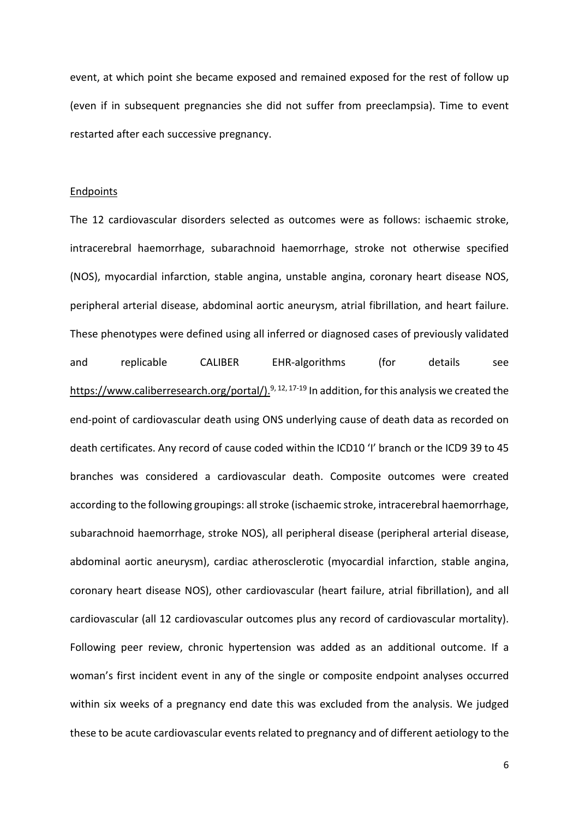event, at which point she became exposed and remained exposed for the rest of follow up (even if in subsequent pregnancies she did not suffer from preeclampsia). Time to event restarted after each successive pregnancy.

### **Endpoints**

The 12 cardiovascular disorders selected as outcomes were as follows: ischaemic stroke, intracerebral haemorrhage, subarachnoid haemorrhage, stroke not otherwise specified (NOS), myocardial infarction, stable angina, unstable angina, coronary heart disease NOS, peripheral arterial disease, abdominal aortic aneurysm, atrial fibrillation, and heart failure. These phenotypes were defined using all inferred or diagnosed cases of previously validated and replicable CALIBER EHR-algorithms (for details see https://www.caliberresearch.org/portal/ $)$ <sup>9, 12, 17-19</sup> In addition, for this analysis we created the end-point of cardiovascular death using ONS underlying cause of death data as recorded on death certificates. Any record of cause coded within the ICD10 'I' branch or the ICD9 39 to 45 branches was considered a cardiovascular death. Composite outcomes were created according to the following groupings: all stroke (ischaemic stroke, intracerebral haemorrhage, subarachnoid haemorrhage, stroke NOS), all peripheral disease (peripheral arterial disease, abdominal aortic aneurysm), cardiac atherosclerotic (myocardial infarction, stable angina, coronary heart disease NOS), other cardiovascular (heart failure, atrial fibrillation), and all cardiovascular (all 12 cardiovascular outcomes plus any record of cardiovascular mortality). Following peer review, chronic hypertension was added as an additional outcome. If a woman's first incident event in any of the single or composite endpoint analyses occurred within six weeks of a pregnancy end date this was excluded from the analysis. We judged these to be acute cardiovascular events related to pregnancy and of different aetiology to the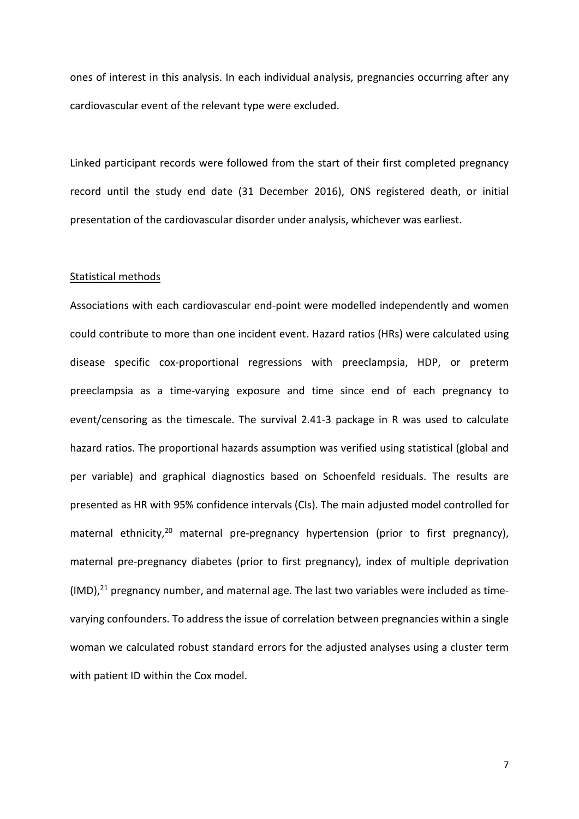ones of interest in this analysis. In each individual analysis, pregnancies occurring after any cardiovascular event of the relevant type were excluded.

Linked participant records were followed from the start of their first completed pregnancy record until the study end date (31 December 2016), ONS registered death, or initial presentation of the cardiovascular disorder under analysis, whichever was earliest.

## Statistical methods

Associations with each cardiovascular end-point were modelled independently and women could contribute to more than one incident event. Hazard ratios (HRs) were calculated using disease specific cox-proportional regressions with preeclampsia, HDP, or preterm preeclampsia as a time-varying exposure and time since end of each pregnancy to event/censoring as the timescale. The survival 2.41-3 package in R was used to calculate hazard ratios. The proportional hazards assumption was verified using statistical (global and per variable) and graphical diagnostics based on Schoenfeld residuals. The results are presented as HR with 95% confidence intervals (CIs). The main adjusted model controlled for maternal ethnicity,<sup>20</sup> maternal pre-pregnancy hypertension (prior to first pregnancy), maternal pre-pregnancy diabetes (prior to first pregnancy), index of multiple deprivation (IMD),<sup>21</sup> pregnancy number, and maternal age. The last two variables were included as timevarying confounders. To address the issue of correlation between pregnancies within a single woman we calculated robust standard errors for the adjusted analyses using a cluster term with patient ID within the Cox model.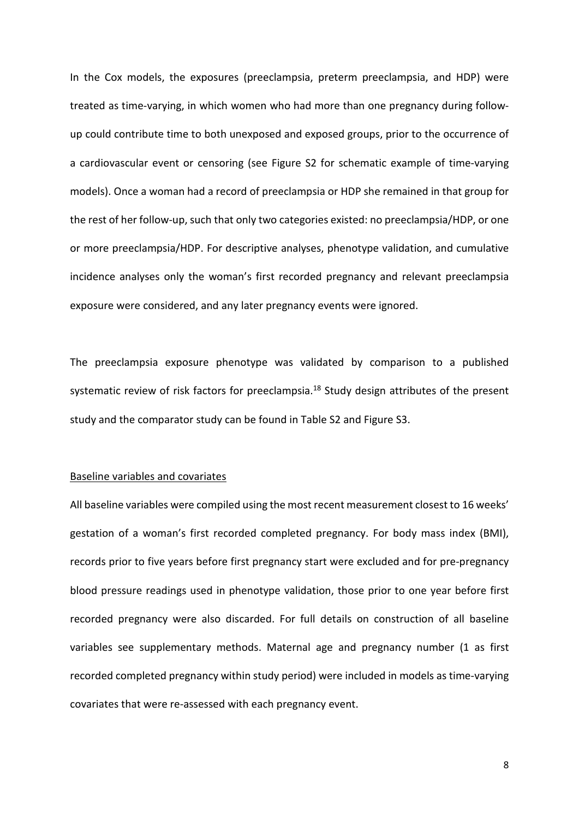In the Cox models, the exposures (preeclampsia, preterm preeclampsia, and HDP) were treated as time-varying, in which women who had more than one pregnancy during followup could contribute time to both unexposed and exposed groups, prior to the occurrence of a cardiovascular event or censoring (see Figure S2 for schematic example of time-varying models). Once a woman had a record of preeclampsia or HDP she remained in that group for the rest of her follow-up, such that only two categories existed: no preeclampsia/HDP, or one or more preeclampsia/HDP. For descriptive analyses, phenotype validation, and cumulative incidence analyses only the woman's first recorded pregnancy and relevant preeclampsia exposure were considered, and any later pregnancy events were ignored.

The preeclampsia exposure phenotype was validated by comparison to a published systematic review of risk factors for preeclampsia.<sup>18</sup> Study design attributes of the present study and the comparator study can be found in Table S2 and Figure S3.

## Baseline variables and covariates

All baseline variables were compiled using the most recent measurement closest to 16 weeks' gestation of a woman's first recorded completed pregnancy. For body mass index (BMI), records prior to five years before first pregnancy start were excluded and for pre-pregnancy blood pressure readings used in phenotype validation, those prior to one year before first recorded pregnancy were also discarded. For full details on construction of all baseline variables see supplementary methods. Maternal age and pregnancy number (1 as first recorded completed pregnancy within study period) were included in models as time-varying covariates that were re-assessed with each pregnancy event.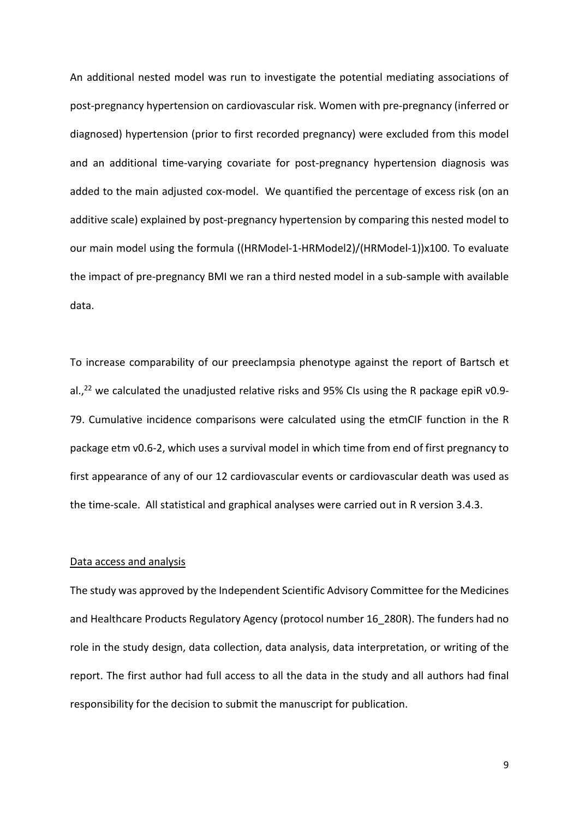An additional nested model was run to investigate the potential mediating associations of post-pregnancy hypertension on cardiovascular risk. Women with pre-pregnancy (inferred or diagnosed) hypertension (prior to first recorded pregnancy) were excluded from this model and an additional time-varying covariate for post-pregnancy hypertension diagnosis was added to the main adjusted cox-model. We quantified the percentage of excess risk (on an additive scale) explained by post-pregnancy hypertension by comparing this nested model to our main model using the formula ((HRModel-1-HRModel2)/(HRModel-1))x100. To evaluate the impact of pre-pregnancy BMI we ran a third nested model in a sub-sample with available data.

To increase comparability of our preeclampsia phenotype against the report of Bartsch et al.,<sup>22</sup> we calculated the unadjusted relative risks and 95% CIs using the R package epiR v0.9-79. Cumulative incidence comparisons were calculated using the etmCIF function in the R package etm v0.6-2, which uses a survival model in which time from end of first pregnancy to first appearance of any of our 12 cardiovascular events or cardiovascular death was used as the time-scale. All statistical and graphical analyses were carried out in R version 3.4.3.

### Data access and analysis

The study was approved by the Independent Scientific Advisory Committee for the Medicines and Healthcare Products Regulatory Agency (protocol number 16\_280R). The funders had no role in the study design, data collection, data analysis, data interpretation, or writing of the report. The first author had full access to all the data in the study and all authors had final responsibility for the decision to submit the manuscript for publication.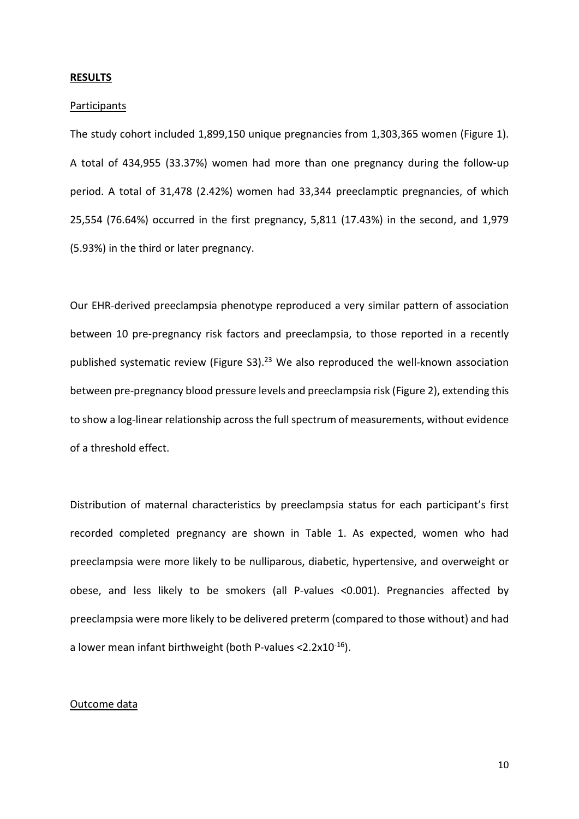### **RESULTS**

#### **Participants**

The study cohort included 1,899,150 unique pregnancies from 1,303,365 women (Figure 1). A total of 434,955 (33.37%) women had more than one pregnancy during the follow-up period. A total of 31,478 (2.42%) women had 33,344 preeclamptic pregnancies, of which 25,554 (76.64%) occurred in the first pregnancy, 5,811 (17.43%) in the second, and 1,979 (5.93%) in the third or later pregnancy.

Our EHR-derived preeclampsia phenotype reproduced a very similar pattern of association between 10 pre-pregnancy risk factors and preeclampsia, to those reported in a recently published systematic review (Figure S3).<sup>23</sup> We also reproduced the well-known association between pre-pregnancy blood pressure levels and preeclampsia risk (Figure 2), extending this to show a log-linear relationship across the full spectrum of measurements, without evidence of a threshold effect.

Distribution of maternal characteristics by preeclampsia status for each participant's first recorded completed pregnancy are shown in Table 1. As expected, women who had preeclampsia were more likely to be nulliparous, diabetic, hypertensive, and overweight or obese, and less likely to be smokers (all P-values <0.001). Pregnancies affected by preeclampsia were more likely to be delivered preterm (compared to those without) and had a lower mean infant birthweight (both P-values  $\langle 2.2x10^{-16} \rangle$ .

## Outcome data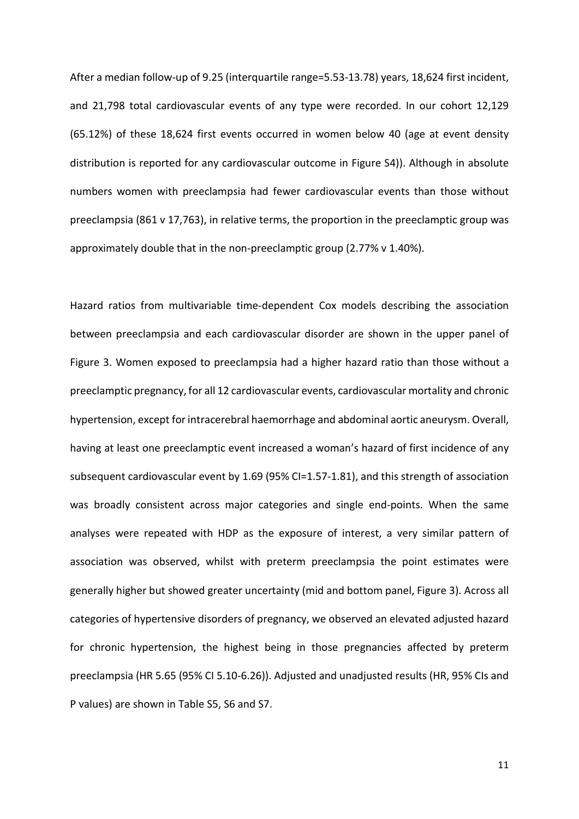After a median follow-up of 9.25 (interquartile range=5.53-13.78) years, 18,624 first incident, and 21,798 total cardiovascular events of any type were recorded. In our cohort 12,129 (65.12%) of these 18,624 first events occurred in women below 40 (age at event density distribution is reported for any cardiovascular outcome in Figure S4)). Although in absolute numbers women with preeclampsia had fewer cardiovascular events than those without preeclampsia (861 v 17,763), in relative terms, the proportion in the preeclamptic group was approximately double that in the non-preeclamptic group (2.77% v 1.40%).

Hazard ratios from multivariable time-dependent Cox models describing the association between preeclampsia and each cardiovascular disorder are shown in the upper panel of Figure 3. Women exposed to preeclampsia had a higher hazard ratio than those without a preeclamptic pregnancy, for all 12 cardiovascular events, cardiovascular mortality and chronic hypertension, except for intracerebral haemorrhage and abdominal aortic aneurysm. Overall, having at least one preeclamptic event increased a woman's hazard of first incidence of any subsequent cardiovascular event by 1.69 (95% CI=1.57-1.81), and this strength of association was broadly consistent across major categories and single end-points. When the same analyses were repeated with HDP as the exposure of interest, a very similar pattern of association was observed, whilst with preterm preeclampsia the point estimates were generally higher but showed greater uncertainty (mid and bottom panel, Figure 3). Across all categories of hypertensive disorders of pregnancy, we observed an elevated adjusted hazard for chronic hypertension, the highest being in those pregnancies affected by preterm preeclampsia (HR 5.65 (95% CI 5.10-6.26)). Adjusted and unadjusted results (HR, 95% CIs and P values) are shown in Table S5, S6 and S7.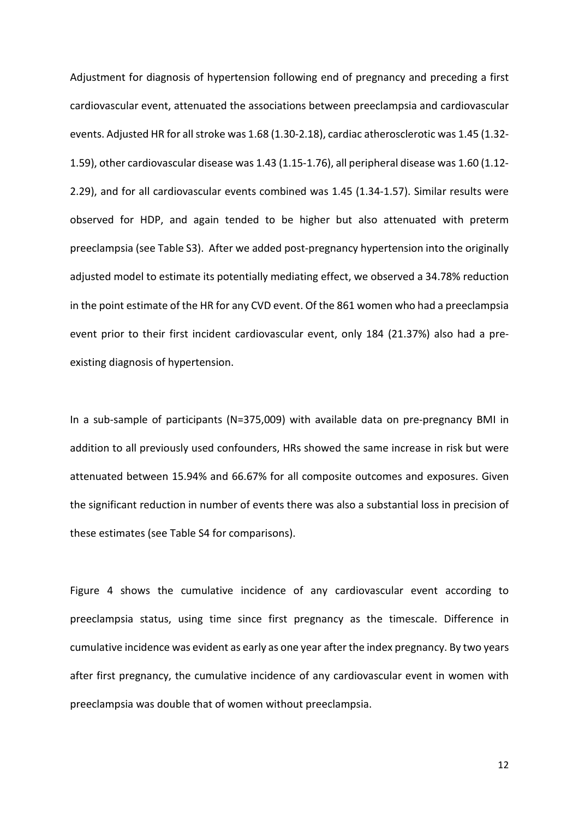Adjustment for diagnosis of hypertension following end of pregnancy and preceding a first cardiovascular event, attenuated the associations between preeclampsia and cardiovascular events. Adjusted HR for all stroke was 1.68 (1.30-2.18), cardiac atherosclerotic was 1.45 (1.32- 1.59), other cardiovascular disease was 1.43 (1.15-1.76), all peripheral disease was 1.60 (1.12- 2.29), and for all cardiovascular events combined was 1.45 (1.34-1.57). Similar results were observed for HDP, and again tended to be higher but also attenuated with preterm preeclampsia (see Table S3). After we added post-pregnancy hypertension into the originally adjusted model to estimate its potentially mediating effect, we observed a 34.78% reduction in the point estimate of the HR for any CVD event. Of the 861 women who had a preeclampsia event prior to their first incident cardiovascular event, only 184 (21.37%) also had a preexisting diagnosis of hypertension.

In a sub-sample of participants (N=375,009) with available data on pre-pregnancy BMI in addition to all previously used confounders, HRs showed the same increase in risk but were attenuated between 15.94% and 66.67% for all composite outcomes and exposures. Given the significant reduction in number of events there was also a substantial loss in precision of these estimates (see Table S4 for comparisons).

Figure 4 shows the cumulative incidence of any cardiovascular event according to preeclampsia status, using time since first pregnancy as the timescale. Difference in cumulative incidence was evident as early as one year after the index pregnancy. By two years after first pregnancy, the cumulative incidence of any cardiovascular event in women with preeclampsia was double that of women without preeclampsia.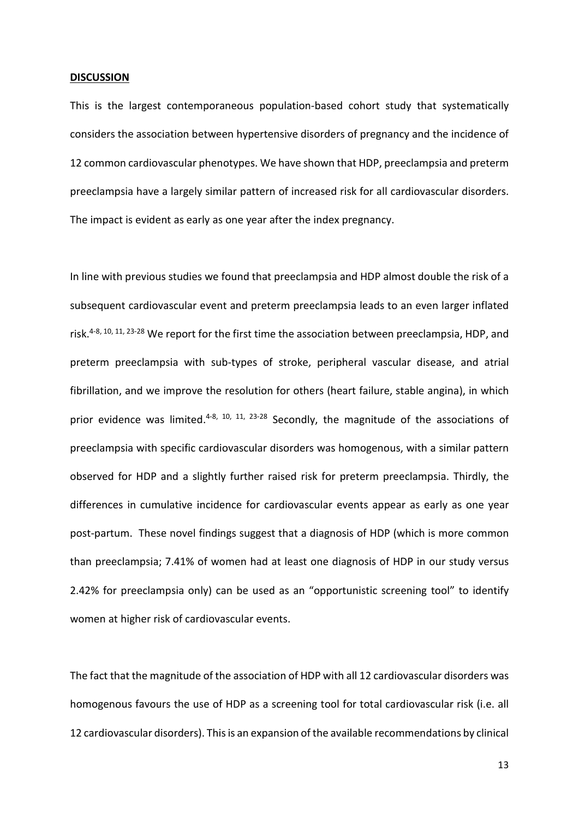### **DISCUSSION**

This is the largest contemporaneous population-based cohort study that systematically considers the association between hypertensive disorders of pregnancy and the incidence of 12 common cardiovascular phenotypes. We have shown that HDP, preeclampsia and preterm preeclampsia have a largely similar pattern of increased risk for all cardiovascular disorders. The impact is evident as early as one year after the index pregnancy.

In line with previous studies we found that preeclampsia and HDP almost double the risk of a subsequent cardiovascular event and preterm preeclampsia leads to an even larger inflated risk.<sup>4-8, 10, 11, 23-28</sup> We report for the first time the association between preeclampsia, HDP, and preterm preeclampsia with sub-types of stroke, peripheral vascular disease, and atrial fibrillation, and we improve the resolution for others (heart failure, stable angina), in which prior evidence was limited.<sup>4-8, 10, 11, 23-28</sup> Secondly, the magnitude of the associations of preeclampsia with specific cardiovascular disorders was homogenous, with a similar pattern observed for HDP and a slightly further raised risk for preterm preeclampsia. Thirdly, the differences in cumulative incidence for cardiovascular events appear as early as one year post-partum. These novel findings suggest that a diagnosis of HDP (which is more common than preeclampsia; 7.41% of women had at least one diagnosis of HDP in our study versus 2.42% for preeclampsia only) can be used as an "opportunistic screening tool" to identify women at higher risk of cardiovascular events.

The fact that the magnitude of the association of HDP with all 12 cardiovascular disorders was homogenous favours the use of HDP as a screening tool for total cardiovascular risk (i.e. all 12 cardiovascular disorders). This is an expansion of the available recommendations by clinical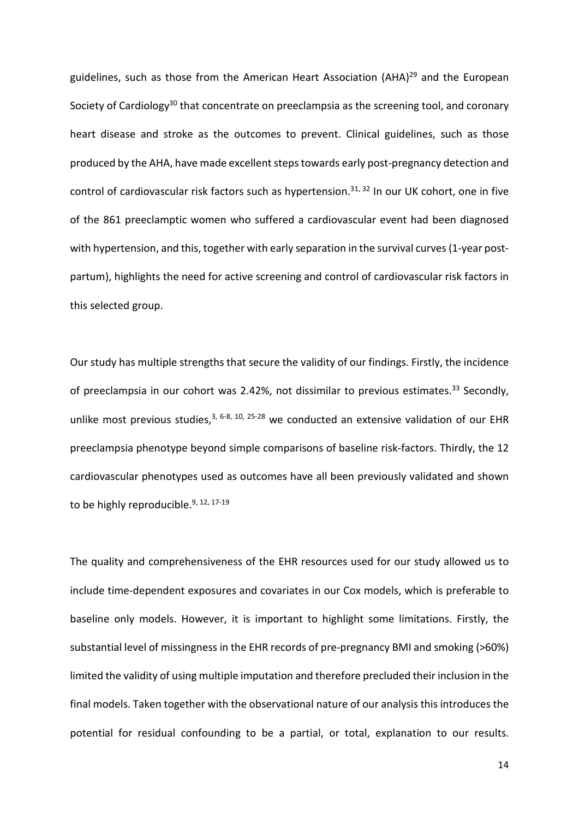guidelines, such as those from the American Heart Association (AHA)<sup>29</sup> and the European Society of Cardiology<sup>30</sup> that concentrate on preeclampsia as the screening tool, and coronary heart disease and stroke as the outcomes to prevent. Clinical guidelines, such as those produced by the AHA, have made excellent steps towards early post-pregnancy detection and control of cardiovascular risk factors such as hypertension.<sup>31, 32</sup> In our UK cohort, one in five of the 861 preeclamptic women who suffered a cardiovascular event had been diagnosed with hypertension, and this, together with early separation in the survival curves (1-year postpartum), highlights the need for active screening and control of cardiovascular risk factors in this selected group.

Our study has multiple strengths that secure the validity of our findings. Firstly, the incidence of preeclampsia in our cohort was 2.42%, not dissimilar to previous estimates.<sup>33</sup> Secondly, unlike most previous studies,<sup>3, 6-8, 10, 25-28</sup> we conducted an extensive validation of our EHR preeclampsia phenotype beyond simple comparisons of baseline risk-factors. Thirdly, the 12 cardiovascular phenotypes used as outcomes have all been previously validated and shown to be highly reproducible.<sup>9, 12, 17-19</sup>

The quality and comprehensiveness of the EHR resources used for our study allowed us to include time-dependent exposures and covariates in our Cox models, which is preferable to baseline only models. However, it is important to highlight some limitations. Firstly, the substantial level of missingness in the EHR records of pre-pregnancy BMI and smoking (>60%) limited the validity of using multiple imputation and therefore precluded their inclusion in the final models. Taken together with the observational nature of our analysis this introduces the potential for residual confounding to be a partial, or total, explanation to our results.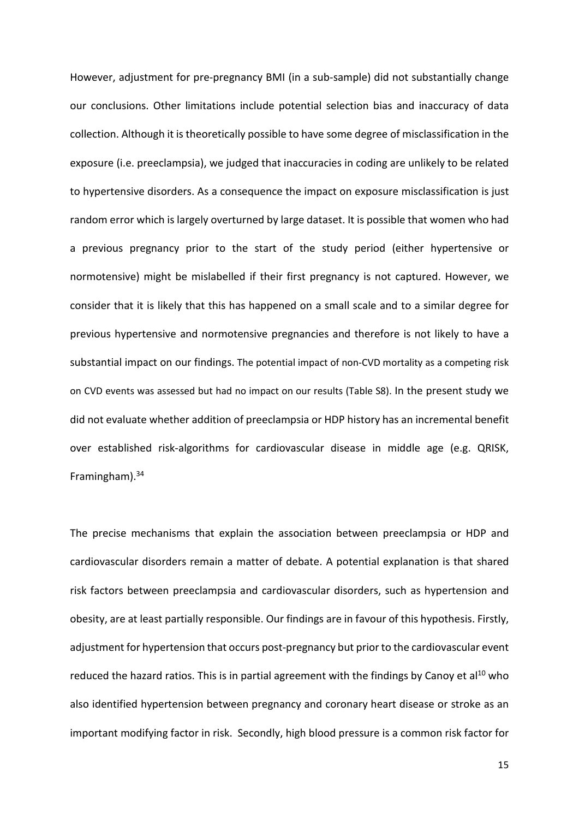However, adjustment for pre-pregnancy BMI (in a sub-sample) did not substantially change our conclusions. Other limitations include potential selection bias and inaccuracy of data collection. Although it is theoretically possible to have some degree of misclassification in the exposure (i.e. preeclampsia), we judged that inaccuracies in coding are unlikely to be related to hypertensive disorders. As a consequence the impact on exposure misclassification is just random error which is largely overturned by large dataset. It is possible that women who had a previous pregnancy prior to the start of the study period (either hypertensive or normotensive) might be mislabelled if their first pregnancy is not captured. However, we consider that it is likely that this has happened on a small scale and to a similar degree for previous hypertensive and normotensive pregnancies and therefore is not likely to have a substantial impact on our findings. The potential impact of non-CVD mortality as a competing risk on CVD events was assessed but had no impact on our results (Table S8). In the present study we did not evaluate whether addition of preeclampsia or HDP history has an incremental benefit over established risk-algorithms for cardiovascular disease in middle age (e.g. QRISK, Framingham).34

The precise mechanisms that explain the association between preeclampsia or HDP and cardiovascular disorders remain a matter of debate. A potential explanation is that shared risk factors between preeclampsia and cardiovascular disorders, such as hypertension and obesity, are at least partially responsible. Our findings are in favour of this hypothesis. Firstly, adjustment for hypertension that occurs post-pregnancy but prior to the cardiovascular event reduced the hazard ratios. This is in partial agreement with the findings by Canoy et al<sup>10</sup> who also identified hypertension between pregnancy and coronary heart disease or stroke as an important modifying factor in risk. Secondly, high blood pressure is a common risk factor for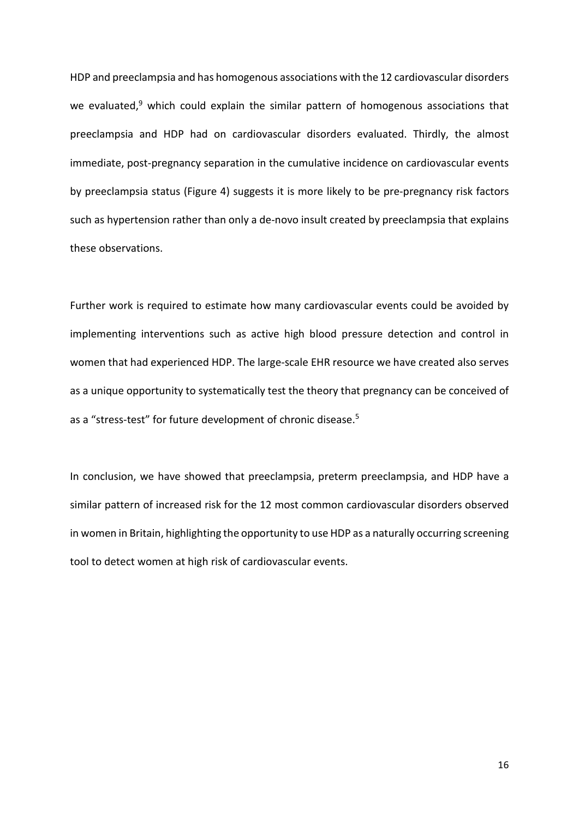HDP and preeclampsia and has homogenous associations with the 12 cardiovascular disorders we evaluated,<sup>9</sup> which could explain the similar pattern of homogenous associations that preeclampsia and HDP had on cardiovascular disorders evaluated. Thirdly, the almost immediate, post-pregnancy separation in the cumulative incidence on cardiovascular events by preeclampsia status (Figure 4) suggests it is more likely to be pre-pregnancy risk factors such as hypertension rather than only a de-novo insult created by preeclampsia that explains these observations.

Further work is required to estimate how many cardiovascular events could be avoided by implementing interventions such as active high blood pressure detection and control in women that had experienced HDP. The large-scale EHR resource we have created also serves as a unique opportunity to systematically test the theory that pregnancy can be conceived of as a "stress-test" for future development of chronic disease.<sup>5</sup>

In conclusion, we have showed that preeclampsia, preterm preeclampsia, and HDP have a similar pattern of increased risk for the 12 most common cardiovascular disorders observed in women in Britain, highlighting the opportunity to use HDP as a naturally occurring screening tool to detect women at high risk of cardiovascular events.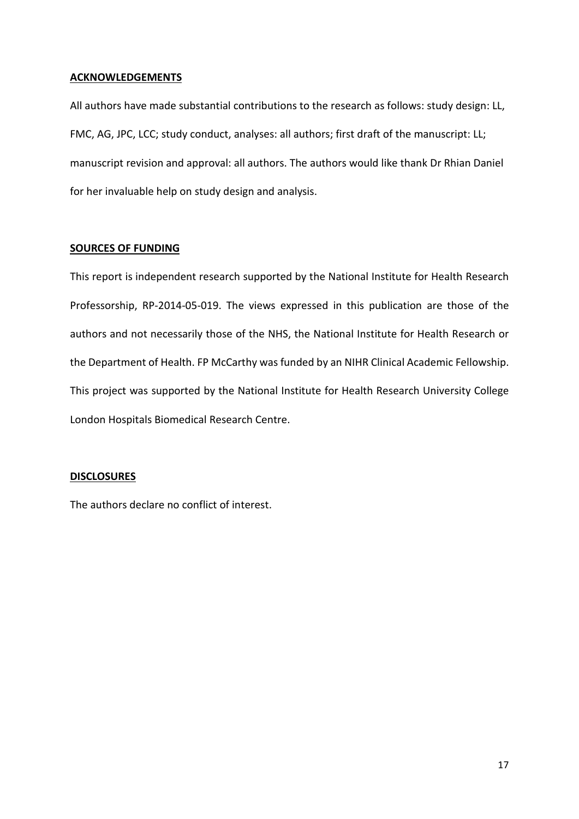# **ACKNOWLEDGEMENTS**

All authors have made substantial contributions to the research as follows: study design: LL, FMC, AG, JPC, LCC; study conduct, analyses: all authors; first draft of the manuscript: LL; manuscript revision and approval: all authors. The authors would like thank Dr Rhian Daniel for her invaluable help on study design and analysis.

# **SOURCES OF FUNDING**

This report is independent research supported by the National Institute for Health Research Professorship, RP-2014-05-019. The views expressed in this publication are those of the authors and not necessarily those of the NHS, the National Institute for Health Research or the Department of Health. FP McCarthy was funded by an NIHR Clinical Academic Fellowship. This project was supported by the National Institute for Health Research University College London Hospitals Biomedical Research Centre.

# **DISCLOSURES**

The authors declare no conflict of interest.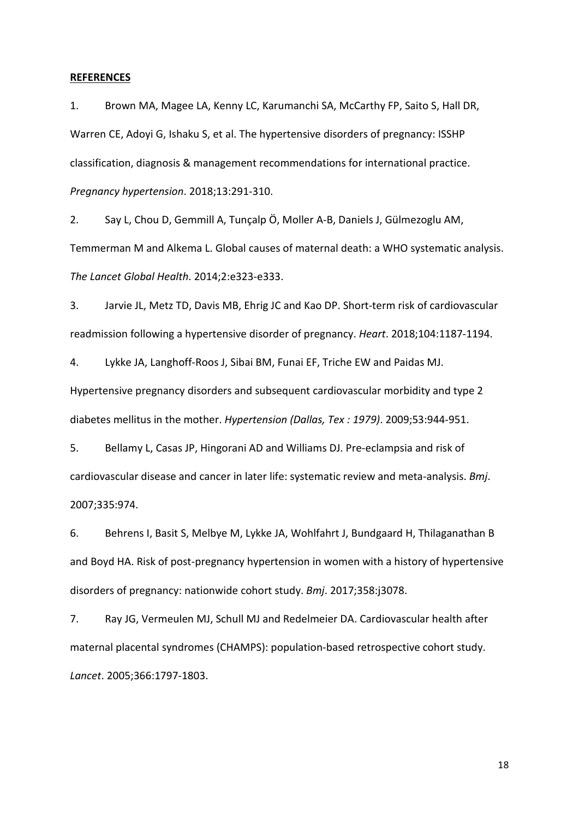### **REFERENCES**

1. Brown MA, Magee LA, Kenny LC, Karumanchi SA, McCarthy FP, Saito S, Hall DR, Warren CE, Adoyi G, Ishaku S, et al. The hypertensive disorders of pregnancy: ISSHP classification, diagnosis & management recommendations for international practice. *Pregnancy hypertension*. 2018;13:291-310.

2. Say L, Chou D, Gemmill A, Tunçalp Ö, Moller A-B, Daniels J, Gülmezoglu AM, Temmerman M and Alkema L. Global causes of maternal death: a WHO systematic analysis. *The Lancet Global Health*. 2014;2:e323-e333.

3. Jarvie JL, Metz TD, Davis MB, Ehrig JC and Kao DP. Short-term risk of cardiovascular readmission following a hypertensive disorder of pregnancy. *Heart*. 2018;104:1187-1194.

4. Lykke JA, Langhoff-Roos J, Sibai BM, Funai EF, Triche EW and Paidas MJ. Hypertensive pregnancy disorders and subsequent cardiovascular morbidity and type 2 diabetes mellitus in the mother. *Hypertension (Dallas, Tex : 1979)*. 2009;53:944-951.

5. Bellamy L, Casas JP, Hingorani AD and Williams DJ. Pre-eclampsia and risk of cardiovascular disease and cancer in later life: systematic review and meta-analysis. *Bmj*. 2007;335:974.

6. Behrens I, Basit S, Melbye M, Lykke JA, Wohlfahrt J, Bundgaard H, Thilaganathan B and Boyd HA. Risk of post-pregnancy hypertension in women with a history of hypertensive disorders of pregnancy: nationwide cohort study. *Bmj*. 2017;358:j3078.

7. Ray JG, Vermeulen MJ, Schull MJ and Redelmeier DA. Cardiovascular health after maternal placental syndromes (CHAMPS): population-based retrospective cohort study. *Lancet*. 2005;366:1797-1803.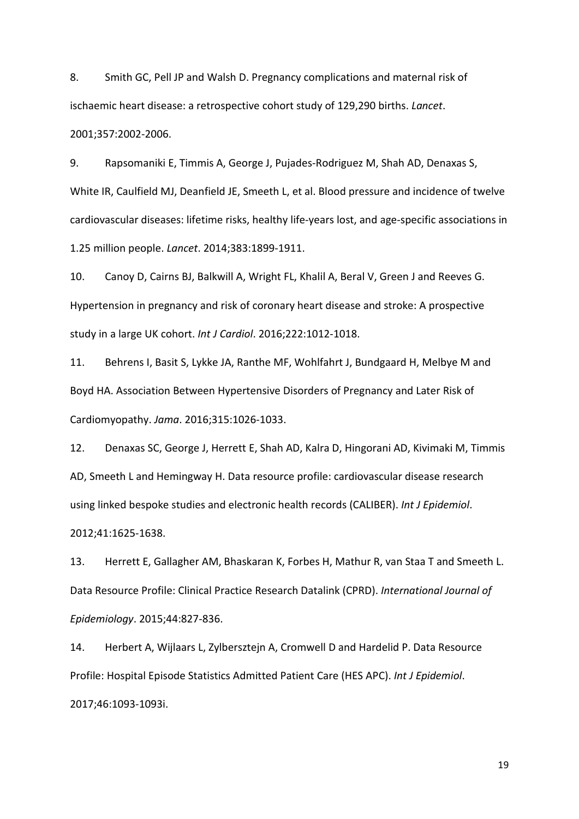8. Smith GC, Pell JP and Walsh D. Pregnancy complications and maternal risk of ischaemic heart disease: a retrospective cohort study of 129,290 births. *Lancet*. 2001;357:2002-2006.

9. Rapsomaniki E, Timmis A, George J, Pujades-Rodriguez M, Shah AD, Denaxas S, White IR, Caulfield MJ, Deanfield JE, Smeeth L, et al. Blood pressure and incidence of twelve cardiovascular diseases: lifetime risks, healthy life-years lost, and age-specific associations in 1.25 million people. *Lancet*. 2014;383:1899-1911.

10. Canoy D, Cairns BJ, Balkwill A, Wright FL, Khalil A, Beral V, Green J and Reeves G. Hypertension in pregnancy and risk of coronary heart disease and stroke: A prospective study in a large UK cohort. *Int J Cardiol*. 2016;222:1012-1018.

11. Behrens I, Basit S, Lykke JA, Ranthe MF, Wohlfahrt J, Bundgaard H, Melbye M and Boyd HA. Association Between Hypertensive Disorders of Pregnancy and Later Risk of Cardiomyopathy. *Jama*. 2016;315:1026-1033.

12. Denaxas SC, George J, Herrett E, Shah AD, Kalra D, Hingorani AD, Kivimaki M, Timmis AD, Smeeth L and Hemingway H. Data resource profile: cardiovascular disease research using linked bespoke studies and electronic health records (CALIBER). *Int J Epidemiol*. 2012;41:1625-1638.

13. Herrett E, Gallagher AM, Bhaskaran K, Forbes H, Mathur R, van Staa T and Smeeth L. Data Resource Profile: Clinical Practice Research Datalink (CPRD). *International Journal of Epidemiology*. 2015;44:827-836.

14. Herbert A, Wijlaars L, Zylbersztejn A, Cromwell D and Hardelid P. Data Resource Profile: Hospital Episode Statistics Admitted Patient Care (HES APC). *Int J Epidemiol*. 2017;46:1093-1093i.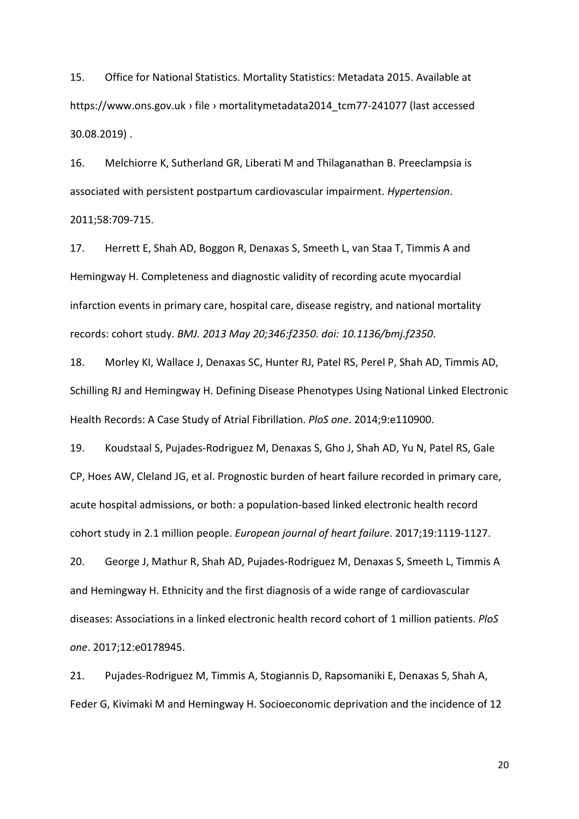15. Office for National Statistics. Mortality Statistics: Metadata 2015. Available at https://www.ons.gov.uk › file › mortalitymetadata2014\_tcm77-241077 (last accessed 30.08.2019) .

16. Melchiorre K, Sutherland GR, Liberati M and Thilaganathan B. Preeclampsia is associated with persistent postpartum cardiovascular impairment. *Hypertension*. 2011;58:709-715.

17. Herrett E, Shah AD, Boggon R, Denaxas S, Smeeth L, van Staa T, Timmis A and Hemingway H. Completeness and diagnostic validity of recording acute myocardial infarction events in primary care, hospital care, disease registry, and national mortality records: cohort study. *BMJ. 2013 May 20;346:f2350. doi: 10.1136/bmj.f2350*.

18. Morley KI, Wallace J, Denaxas SC, Hunter RJ, Patel RS, Perel P, Shah AD, Timmis AD, Schilling RJ and Hemingway H. Defining Disease Phenotypes Using National Linked Electronic Health Records: A Case Study of Atrial Fibrillation. *PloS one*. 2014;9:e110900.

19. Koudstaal S, Pujades-Rodriguez M, Denaxas S, Gho J, Shah AD, Yu N, Patel RS, Gale CP, Hoes AW, Cleland JG, et al. Prognostic burden of heart failure recorded in primary care, acute hospital admissions, or both: a population-based linked electronic health record cohort study in 2.1 million people. *European journal of heart failure*. 2017;19:1119-1127.

20. George J, Mathur R, Shah AD, Pujades-Rodriguez M, Denaxas S, Smeeth L, Timmis A and Hemingway H. Ethnicity and the first diagnosis of a wide range of cardiovascular diseases: Associations in a linked electronic health record cohort of 1 million patients. *PloS one*. 2017;12:e0178945.

21. Pujades-Rodriguez M, Timmis A, Stogiannis D, Rapsomaniki E, Denaxas S, Shah A, Feder G, Kivimaki M and Hemingway H. Socioeconomic deprivation and the incidence of 12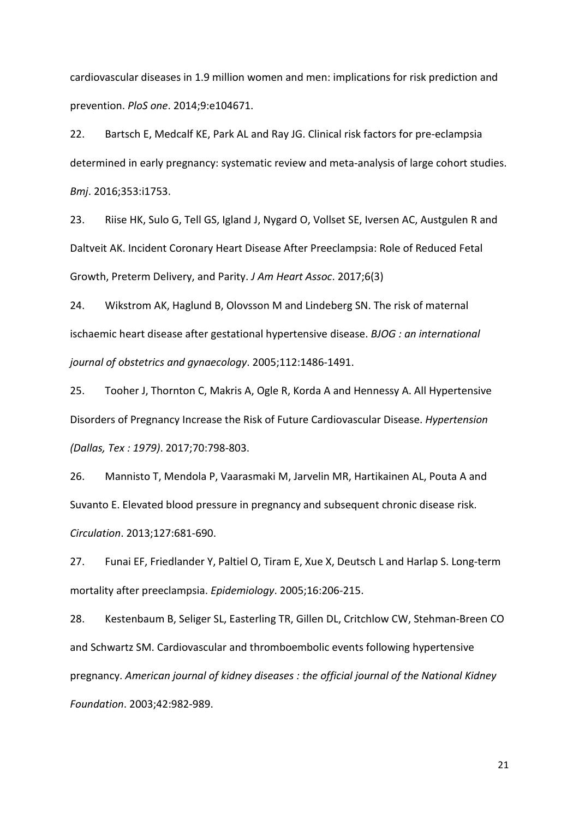cardiovascular diseases in 1.9 million women and men: implications for risk prediction and prevention. *PloS one*. 2014;9:e104671.

22. Bartsch E, Medcalf KE, Park AL and Ray JG. Clinical risk factors for pre-eclampsia determined in early pregnancy: systematic review and meta-analysis of large cohort studies. *Bmj*. 2016;353:i1753.

23. Riise HK, Sulo G, Tell GS, Igland J, Nygard O, Vollset SE, Iversen AC, Austgulen R and Daltveit AK. Incident Coronary Heart Disease After Preeclampsia: Role of Reduced Fetal Growth, Preterm Delivery, and Parity. *J Am Heart Assoc*. 2017;6(3)

24. Wikstrom AK, Haglund B, Olovsson M and Lindeberg SN. The risk of maternal ischaemic heart disease after gestational hypertensive disease. *BJOG : an international journal of obstetrics and gynaecology*. 2005;112:1486-1491.

25. Tooher J, Thornton C, Makris A, Ogle R, Korda A and Hennessy A. All Hypertensive Disorders of Pregnancy Increase the Risk of Future Cardiovascular Disease. *Hypertension (Dallas, Tex : 1979)*. 2017;70:798-803.

26. Mannisto T, Mendola P, Vaarasmaki M, Jarvelin MR, Hartikainen AL, Pouta A and Suvanto E. Elevated blood pressure in pregnancy and subsequent chronic disease risk. *Circulation*. 2013;127:681-690.

27. Funai EF, Friedlander Y, Paltiel O, Tiram E, Xue X, Deutsch L and Harlap S. Long-term mortality after preeclampsia. *Epidemiology*. 2005;16:206-215.

28. Kestenbaum B, Seliger SL, Easterling TR, Gillen DL, Critchlow CW, Stehman-Breen CO and Schwartz SM. Cardiovascular and thromboembolic events following hypertensive pregnancy. *American journal of kidney diseases : the official journal of the National Kidney Foundation*. 2003;42:982-989.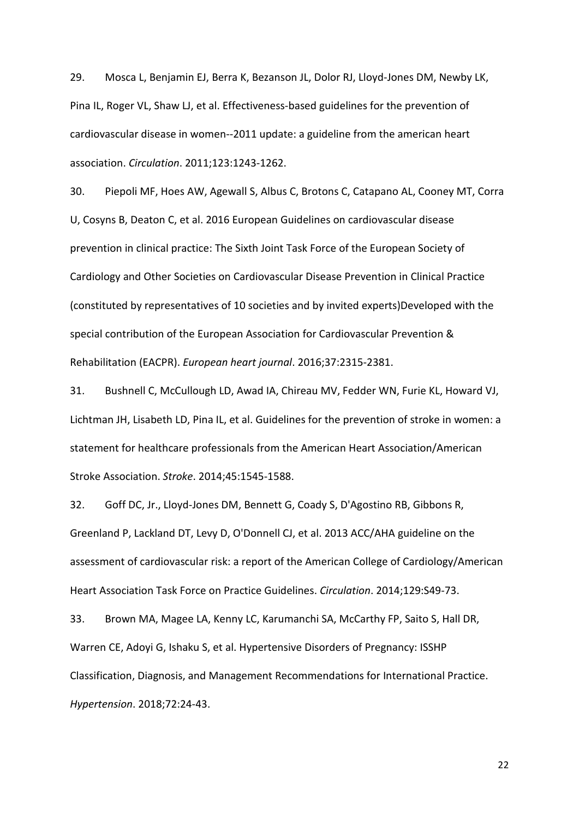29. Mosca L, Benjamin EJ, Berra K, Bezanson JL, Dolor RJ, Lloyd-Jones DM, Newby LK, Pina IL, Roger VL, Shaw LJ, et al. Effectiveness-based guidelines for the prevention of cardiovascular disease in women--2011 update: a guideline from the american heart association. *Circulation*. 2011;123:1243-1262.

30. Piepoli MF, Hoes AW, Agewall S, Albus C, Brotons C, Catapano AL, Cooney MT, Corra U, Cosyns B, Deaton C, et al. 2016 European Guidelines on cardiovascular disease prevention in clinical practice: The Sixth Joint Task Force of the European Society of Cardiology and Other Societies on Cardiovascular Disease Prevention in Clinical Practice (constituted by representatives of 10 societies and by invited experts)Developed with the special contribution of the European Association for Cardiovascular Prevention & Rehabilitation (EACPR). *European heart journal*. 2016;37:2315-2381.

31. Bushnell C, McCullough LD, Awad IA, Chireau MV, Fedder WN, Furie KL, Howard VJ, Lichtman JH, Lisabeth LD, Pina IL, et al. Guidelines for the prevention of stroke in women: a statement for healthcare professionals from the American Heart Association/American Stroke Association. *Stroke*. 2014;45:1545-1588.

32. Goff DC, Jr., Lloyd-Jones DM, Bennett G, Coady S, D'Agostino RB, Gibbons R, Greenland P, Lackland DT, Levy D, O'Donnell CJ, et al. 2013 ACC/AHA guideline on the assessment of cardiovascular risk: a report of the American College of Cardiology/American Heart Association Task Force on Practice Guidelines. *Circulation*. 2014;129:S49-73.

33. Brown MA, Magee LA, Kenny LC, Karumanchi SA, McCarthy FP, Saito S, Hall DR, Warren CE, Adoyi G, Ishaku S, et al. Hypertensive Disorders of Pregnancy: ISSHP Classification, Diagnosis, and Management Recommendations for International Practice. *Hypertension*. 2018;72:24-43.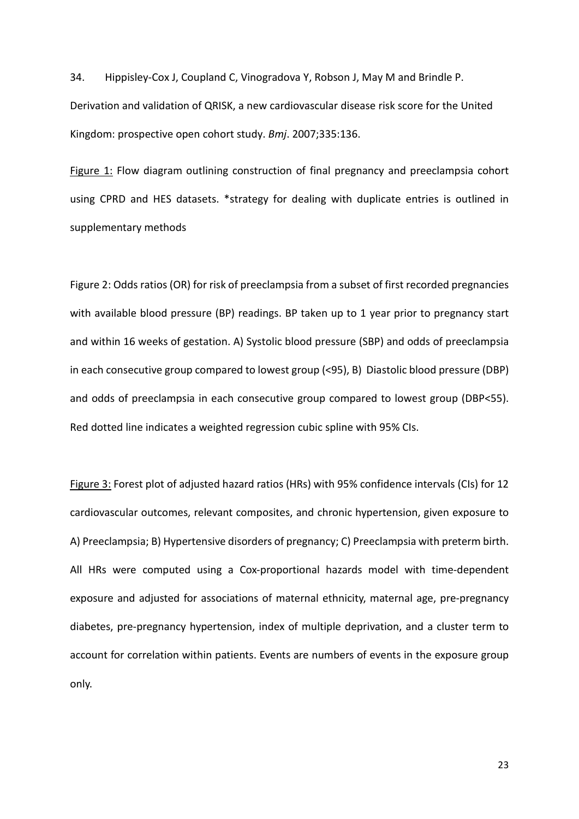34. Hippisley-Cox J, Coupland C, Vinogradova Y, Robson J, May M and Brindle P. Derivation and validation of QRISK, a new cardiovascular disease risk score for the United Kingdom: prospective open cohort study. *Bmj*. 2007;335:136.

Figure 1: Flow diagram outlining construction of final pregnancy and preeclampsia cohort using CPRD and HES datasets. \*strategy for dealing with duplicate entries is outlined in supplementary methods

Figure 2: Odds ratios (OR) for risk of preeclampsia from a subset of first recorded pregnancies with available blood pressure (BP) readings. BP taken up to 1 year prior to pregnancy start and within 16 weeks of gestation. A) Systolic blood pressure (SBP) and odds of preeclampsia in each consecutive group compared to lowest group (<95), B) Diastolic blood pressure (DBP) and odds of preeclampsia in each consecutive group compared to lowest group (DBP<55). Red dotted line indicates a weighted regression cubic spline with 95% CIs.

Figure 3: Forest plot of adjusted hazard ratios (HRs) with 95% confidence intervals (CIs) for 12 cardiovascular outcomes, relevant composites, and chronic hypertension, given exposure to A) Preeclampsia; B) Hypertensive disorders of pregnancy; C) Preeclampsia with preterm birth. All HRs were computed using a Cox-proportional hazards model with time-dependent exposure and adjusted for associations of maternal ethnicity, maternal age, pre-pregnancy diabetes, pre-pregnancy hypertension, index of multiple deprivation, and a cluster term to account for correlation within patients. Events are numbers of events in the exposure group only.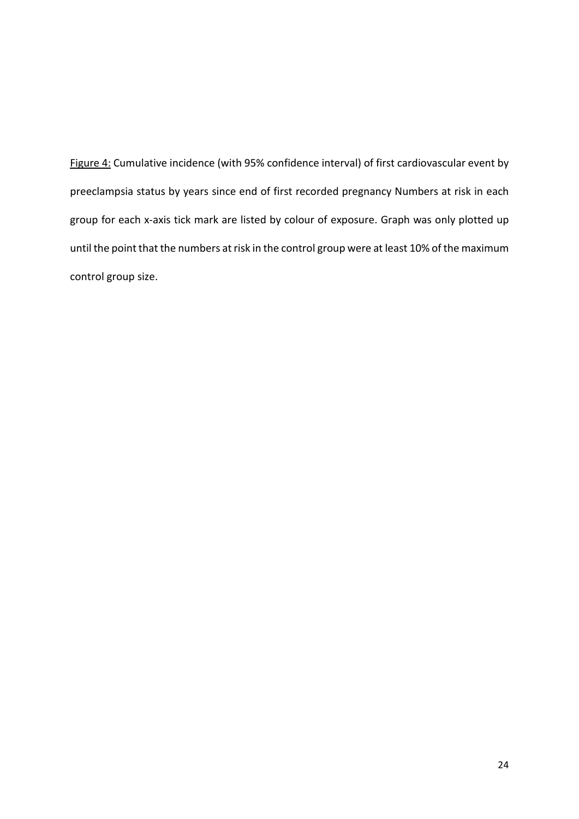Figure 4: Cumulative incidence (with 95% confidence interval) of first cardiovascular event by preeclampsia status by years since end of first recorded pregnancy Numbers at risk in each group for each x-axis tick mark are listed by colour of exposure. Graph was only plotted up until the point that the numbers at risk in the control group were at least 10% of the maximum control group size.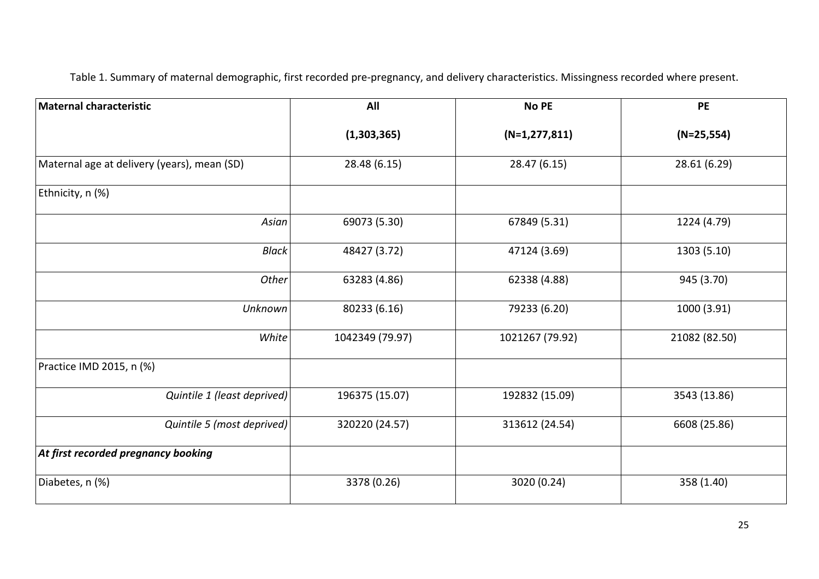Table 1. Summary of maternal demographic, first recorded pre-pregnancy, and delivery characteristics. Missingness recorded where present.

| <b>Maternal characteristic</b>              | All             | <b>No PE</b>      | <b>PE</b>     |
|---------------------------------------------|-----------------|-------------------|---------------|
|                                             | (1,303,365)     | $(N=1, 277, 811)$ | $(N=25,554)$  |
| Maternal age at delivery (years), mean (SD) | 28.48 (6.15)    | 28.47 (6.15)      | 28.61 (6.29)  |
| Ethnicity, n (%)                            |                 |                   |               |
| Asian                                       | 69073 (5.30)    | 67849 (5.31)      | 1224 (4.79)   |
| <b>Black</b>                                | 48427 (3.72)    | 47124 (3.69)      | 1303 (5.10)   |
| Other                                       | 63283 (4.86)    | 62338 (4.88)      | 945 (3.70)    |
| Unknown                                     | 80233 (6.16)    | 79233 (6.20)      | 1000 (3.91)   |
| White                                       | 1042349 (79.97) | 1021267 (79.92)   | 21082 (82.50) |
| Practice IMD 2015, n (%)                    |                 |                   |               |
| Quintile 1 (least deprived)                 | 196375 (15.07)  | 192832 (15.09)    | 3543 (13.86)  |
| Quintile 5 (most deprived)                  | 320220 (24.57)  | 313612 (24.54)    | 6608 (25.86)  |
| At first recorded pregnancy booking         |                 |                   |               |
| Diabetes, n (%)                             | 3378 (0.26)     | 3020 (0.24)       | 358 (1.40)    |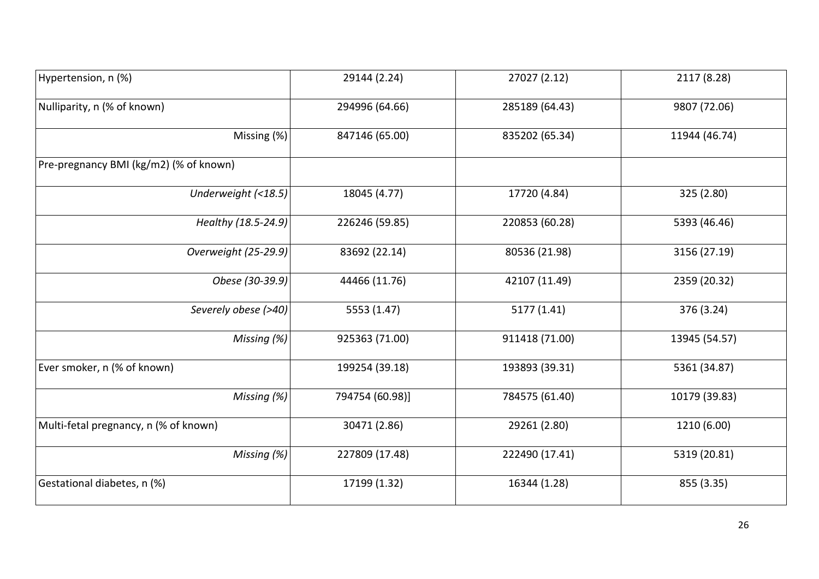| Hypertension, n (%)                    | 29144 (2.24)    | 27027 (2.12)   | 2117 (8.28)   |
|----------------------------------------|-----------------|----------------|---------------|
| Nulliparity, n (% of known)            | 294996 (64.66)  | 285189 (64.43) | 9807 (72.06)  |
| Missing (%)                            | 847146 (65.00)  | 835202 (65.34) | 11944 (46.74) |
| Pre-pregnancy BMI (kg/m2) (% of known) |                 |                |               |
| Underweight (<18.5)                    | 18045 (4.77)    | 17720 (4.84)   | 325 (2.80)    |
| Healthy (18.5-24.9)                    | 226246 (59.85)  | 220853 (60.28) | 5393 (46.46)  |
| Overweight (25-29.9)                   | 83692 (22.14)   | 80536 (21.98)  | 3156 (27.19)  |
| Obese (30-39.9)                        | 44466 (11.76)   | 42107 (11.49)  | 2359 (20.32)  |
| Severely obese (>40)                   | 5553 (1.47)     | 5177 (1.41)    | 376 (3.24)    |
| Missing (%)                            | 925363 (71.00)  | 911418 (71.00) | 13945 (54.57) |
| Ever smoker, n (% of known)            | 199254 (39.18)  | 193893 (39.31) | 5361 (34.87)  |
| Missing (%)                            | 794754 (60.98)] | 784575 (61.40) | 10179 (39.83) |
| Multi-fetal pregnancy, n (% of known)  | 30471 (2.86)    | 29261 (2.80)   | 1210 (6.00)   |
| Missing (%)                            | 227809 (17.48)  | 222490 (17.41) | 5319 (20.81)  |
| Gestational diabetes, n (%)            | 17199 (1.32)    | 16344 (1.28)   | 855 (3.35)    |